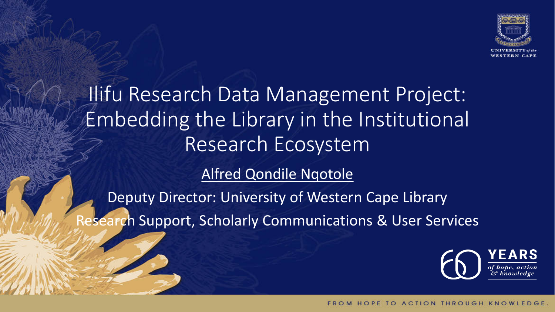

Ilifu Research Data Management Project: Embedding the Library in the Institutional Research Ecosystem [Alfred Qondile Nqotole](mailto:eresearch-office@uwc.ac.za)

Deputy Director: University of Western Cape Library Research Support, Scholarly Communications & User Services

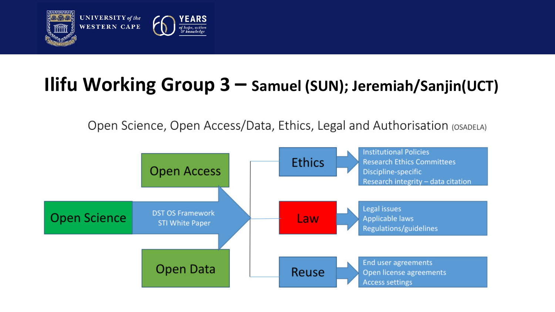

### **Ilifu Working Group 3 – Samuel (SUN); Jeremiah/Sanjin(UCT)**

Open Science, Open Access/Data, Ethics, Legal and Authorisation (OSADELA)

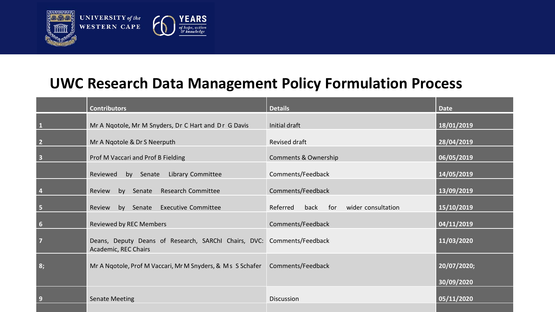

#### **UWC Research Data Management Policy Formulation Process**

|                         | <b>Contributors</b>                                                                            | <b>Details</b>                          | <b>Date</b>               |
|-------------------------|------------------------------------------------------------------------------------------------|-----------------------------------------|---------------------------|
| $\vert$ 1               | Mr A Ngotole, Mr M Snyders, Dr C Hart and Dr G Davis                                           | Initial draft                           | 18/01/2019                |
| $\overline{\mathbf{2}}$ | Mr A Ngotole & Dr S Neerputh                                                                   | Revised draft                           | 28/04/2019                |
| $\overline{\mathbf{3}}$ | Prof M Vaccari and Prof B Fielding                                                             | <b>Comments &amp; Ownership</b>         | 06/05/2019                |
|                         | by Senate Library Committee<br>Reviewed                                                        | Comments/Feedback                       | 14/05/2019                |
| $\overline{4}$          | by Senate Research Committee<br>Review                                                         | Comments/Feedback                       | 13/09/2019                |
| 5                       | by Senate<br><b>Executive Committee</b><br>Review                                              | Referred<br>back for wider consultation | 15/10/2019                |
| 6                       | <b>Reviewed by REC Members</b>                                                                 | Comments/Feedback                       | 04/11/2019                |
| $\overline{7}$          | Deans, Deputy Deans of Research, SARChI Chairs, DVC: Comments/Feedback<br>Academic, REC Chairs |                                         | 11/03/2020                |
| 8;                      | Mr A Ngotole, Prof M Vaccari, Mr M Snyders, & Ms S Schafer   Comments/Feedback                 |                                         | 20/07/2020;<br>30/09/2020 |
| $\overline{9}$          | <b>Senate Meeting</b>                                                                          | Discussion                              | 05/11/2020                |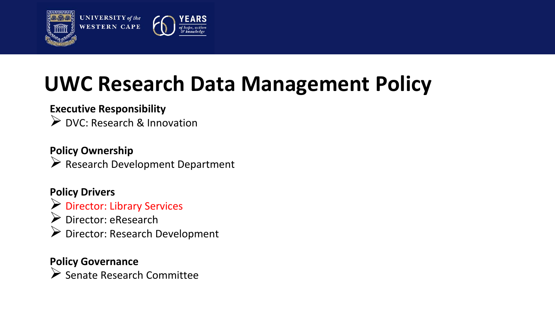

## **UWC Research Data Management Policy**

#### **Executive Responsibility**

▶ DVC: Research & Innovation

#### **Policy Ownership**  $\triangleright$  Research Development Department

#### **Policy Drivers**

- Director: Library Services Director: eResearch
- Director: Research Development

#### **Policy Governance**

 $\triangleright$  Senate Research Committee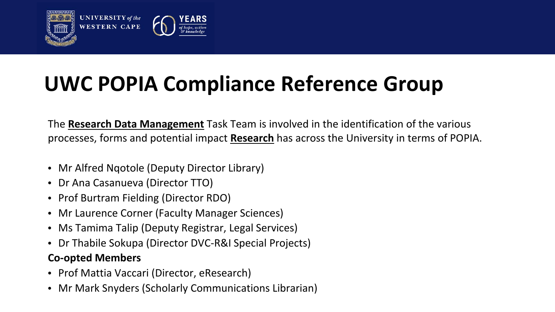

## **UWC POPIA Compliance Reference Group**

The **Research Data Management** Task Team is involved in the identification of the various processes, forms and potential impact **Research** has across the University in terms of POPIA.

- Mr Alfred Ngotole (Deputy Director Library)
- Dr Ana Casanueva (Director TTO)
- Prof Burtram Fielding (Director RDO)
- Mr Laurence Corner (Faculty Manager Sciences)
- Ms Tamima Talip (Deputy Registrar, Legal Services)
- Dr Thabile Sokupa (Director DVC-R&I Special Projects)

#### **Co-opted Members**

- Prof Mattia Vaccari (Director, eResearch)
- Mr Mark Snyders (Scholarly Communications Librarian)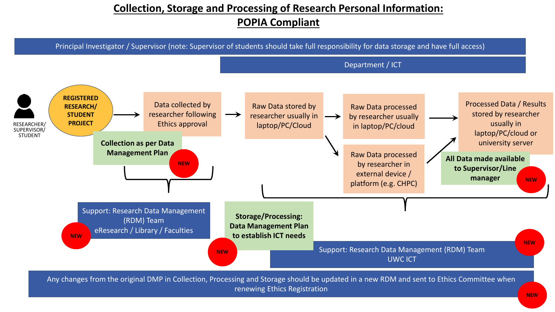#### **Collection, Storage and Processing of Research Personal Information: POPIA Compliant**



renewing Ethics Registration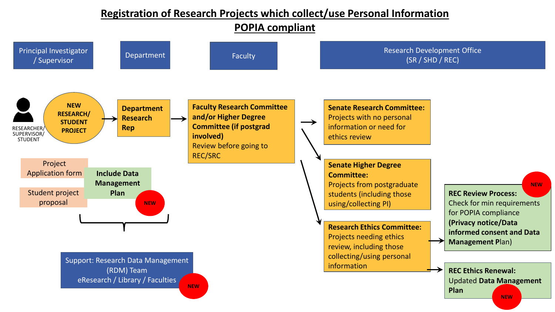#### **Registration of Research Projects which collect/use Personal Information**

**POPIA compliant**

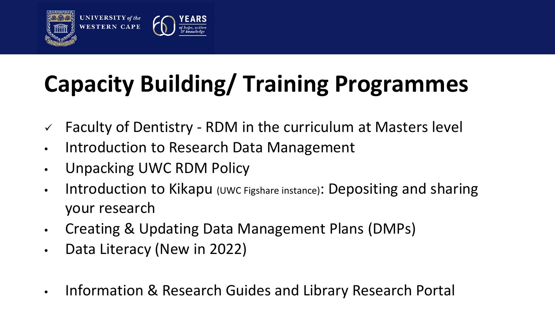



# **Capacity Building/ Training Programmes**

- $\checkmark$  Faculty of Dentistry RDM in the curriculum at Masters level
- Introduction to Research Data Management
- Unpacking UWC RDM Policy
- Introduction to Kikapu (UWC Figshare instance): Depositing and sharing your research
- Creating & Updating Data Management Plans (DMPs)
- Data Literacy (New in 2022)
- Information & Research Guides and Library Research Portal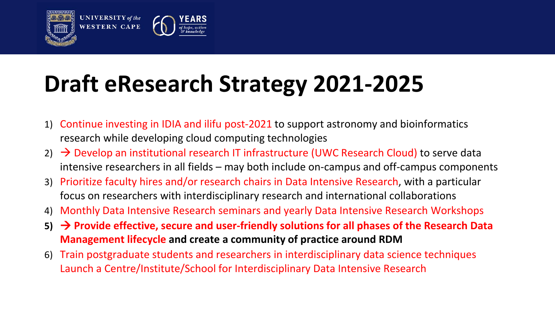

## **Draft eResearch Strategy 2021-2025**

- 1) Continue investing in IDIA and ilifu post-2021 to support astronomy and bioinformatics research while developing cloud computing technologies
- 2)  $\rightarrow$  Develop an institutional research IT infrastructure (UWC Research Cloud) to serve data intensive researchers in all fields – may both include on-campus and off-campus components
- 3) Prioritize faculty hires and/or research chairs in Data Intensive Research, with a particular focus on researchers with interdisciplinary research and international collaborations
- 4) Monthly Data Intensive Research seminars and yearly Data Intensive Research Workshops
- **5) Provide effective, secure and user-friendly solutions for all phases of the Research Data Management lifecycle and create a community of practice around RDM**
- 6) Train postgraduate students and researchers in interdisciplinary data science techniques Launch a Centre/Institute/School for Interdisciplinary Data Intensive Research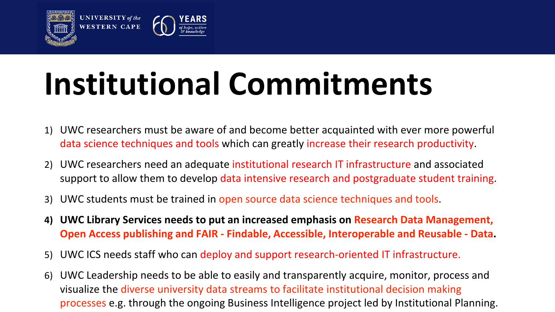

**UNIVERSITY** of the **WESTERN CAPE** 



# **Institutional Commitments**

- 1) UWC researchers must be aware of and become better acquainted with ever more powerful data science techniques and tools which can greatly increase their research productivity.
- 2) UWC researchers need an adequate institutional research IT infrastructure and associated support to allow them to develop data intensive research and postgraduate student training.
- 3) UWC students must be trained in open source data science techniques and tools.
- **4) UWC Library Services needs to put an increased emphasis on Research Data Management, Open Access publishing and FAIR - Findable, Accessible, Interoperable and Reusable - Data.**
- 5) UWC ICS needs staff who can deploy and support research-oriented IT infrastructure.
- 6) UWC Leadership needs to be able to easily and transparently acquire, monitor, process and visualize the diverse university data streams to facilitate institutional decision making processes e.g. through the ongoing Business Intelligence project led by Institutional Planning.